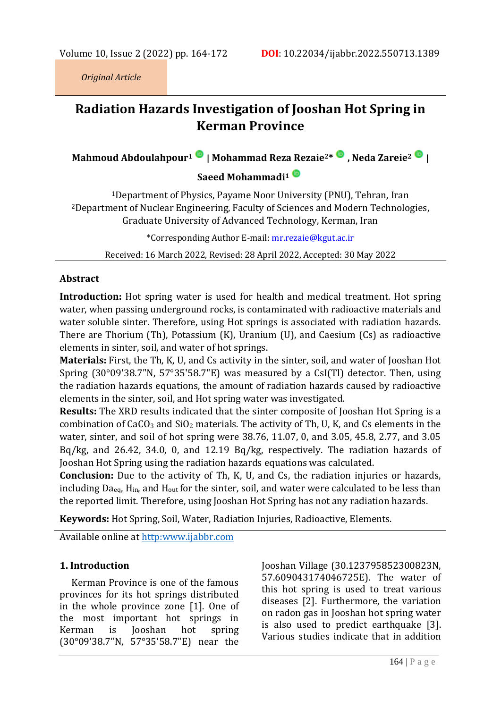*Original Article*

# **Radiation Hazards Investigation of Jooshan Hot Spring in Kerman Province**

**Mahmoud Abdoulahpour<sup>1</sup> [|](https://www.orcid.org/0000-0002-9971-055X) Mohammad Reza Rezaie2[\\*](https://www.orcid.org/0000-0002-2183-7729) , Neda Zareie[2](https://orcid.org/0000-0003-2090-5926) |**

## **Saeed Mohammadi[1](https://www.orcid.org/0000-0001-7706-9856)**

<sup>1</sup>Department of Physics, Payame Noor University (PNU), Tehran, Iran <sup>2</sup>Department of Nuclear Engineering, Faculty of Sciences and Modern Technologies, Graduate University of Advanced Technology, Kerman, Iran

\*Corresponding Author E-mail: <mr.rezaie@kgut.ac.ir>

Received: 16 March 2022, Revised: 28 April 2022, Accepted: 30 May 2022

#### **Abstract**

**Introduction:** Hot spring water is used for health and medical treatment. Hot spring water, when passing underground rocks, is contaminated with radioactive materials and water soluble sinter. Therefore, using Hot springs is associated with radiation hazards. There are Thorium (Th), Potassium (K), Uranium (U), and Caesium (Cs) as radioactive elements in sinter, soil, and water of hot springs.

**Materials:** First, the Th, K, U, and Cs activity in the sinter, soil, and water of Jooshan Hot Spring (30°09'38.7"N, 57°35'58.7"E) was measured by a CsI(Tl) detector. Then, using the radiation hazards equations, the amount of radiation hazards caused by radioactive elements in the sinter, soil, and Hot spring water was investigated.

**Results:** The XRD results indicated that the sinter composite of Jooshan Hot Spring is a combination of  $CaCO<sub>3</sub>$  and  $SiO<sub>2</sub>$  materials. The activity of Th, U, K, and Cs elements in the water, sinter, and soil of hot spring were 38.76, 11.07, 0, and 3.05, 45.8, 2.77, and 3.05 Bq/kg, and 26.42, 34.0, 0, and 12.19 Bq/kg, respectively. The radiation hazards of Jooshan Hot Spring using the radiation hazards equations was calculated.

**Conclusion:** Due to the activity of Th, K, U, and Cs, the radiation injuries or hazards, including  $Da_{eq}$ ,  $H_{in}$ , and  $H_{out}$  for the sinter, soil, and water were calculated to be less than the reported limit. Therefore, using Jooshan Hot Spring has not any radiation hazards.

**Keywords:** Hot Spring, Soil, Water, Radiation Injuries, Radioactive, Elements.

Available online at [http:www.ijabbr.com](http://www.ijabbr.com/)

## **1. Introduction**

Kerman Province is one of the famous provinces for its hot springs distributed in the whole province zone [1]. One of the most important hot springs in Kerman is Jooshan hot spring (30°09'38.7"N, 57°35'58.7"E) near the Jooshan Village (30.123795852300823N, 57.609043174046725E). The water of this hot spring is used to treat various diseases [2]. Furthermore, the variation on radon gas in Jooshan hot spring water is also used to predict earthquake [3]. Various studies indicate that in addition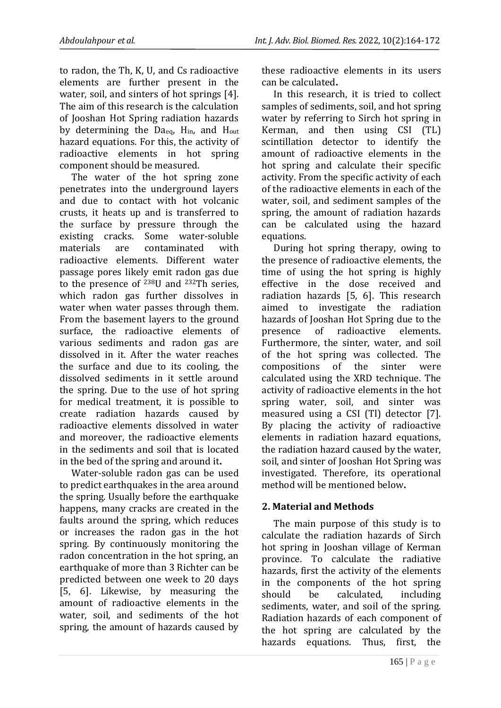to radon, the Th, K, U, and Cs radioactive elements are further present in the water, soil, and sinters of hot springs [4]. The aim of this research is the calculation of Jooshan Hot Spring radiation hazards by determining the Daeq, Hin, and Hout hazard equations. For this, the activity of radioactive elements in hot spring component should be measured.

The water of the hot spring zone penetrates into the underground layers and due to contact with hot volcanic crusts, it heats up and is transferred to the surface by pressure through the existing cracks. Some water-soluble materials are contaminated with radioactive elements. Different water passage pores likely emit radon gas due to the presence of 238U and 232Th series, which radon gas further dissolves in water when water passes through them. From the basement layers to the ground surface, the radioactive elements of various sediments and radon gas are dissolved in it. After the water reaches the surface and due to its cooling, the dissolved sediments in it settle around the spring. Due to the use of hot spring for medical treatment, it is possible to create radiation hazards caused by radioactive elements dissolved in water and moreover, the radioactive elements in the sediments and soil that is located in the bed of the spring and around it**.**

Water-soluble radon gas can be used to predict earthquakes in the area around the spring. Usually before the earthquake happens, many cracks are created in the faults around the spring, which reduces or increases the radon gas in the hot spring. By continuously monitoring the radon concentration in the hot spring, an earthquake of more than 3 Richter can be predicted between one week to 20 days [5, 6]. Likewise, by measuring the amount of radioactive elements in the water, soil, and sediments of the hot spring, the amount of hazards caused by these radioactive elements in its users can be calculated**.**

In this research, it is tried to collect samples of sediments, soil, and hot spring water by referring to Sirch hot spring in Kerman, and then using CSI (TL) scintillation detector to identify the amount of radioactive elements in the hot spring and calculate their specific activity. From the specific activity of each of the radioactive elements in each of the water, soil, and sediment samples of the spring, the amount of radiation hazards can be calculated using the hazard equations.

During hot spring therapy, owing to the presence of radioactive elements, the time of using the hot spring is highly effective in the dose received and radiation hazards [5, 6]. This research aimed to investigate the radiation hazards of Jooshan Hot Spring due to the presence of radioactive elements. Furthermore, the sinter, water, and soil of the hot spring was collected. The compositions of the sinter were calculated using the XRD technique. The activity of radioactive elements in the hot spring water, soil, and sinter was measured using a CSI (Tl) detector [7]. By placing the activity of radioactive elements in radiation hazard equations, the radiation hazard caused by the water, soil, and sinter of Jooshan Hot Spring was investigated. Therefore, its operational method will be mentioned below**.**

## **2. Material and Methods**

The main purpose of this study is to calculate the radiation hazards of Sirch hot spring in Jooshan village of Kerman province. To calculate the radiative hazards, first the activity of the elements in the components of the hot spring should be calculated, including sediments, water, and soil of the spring. Radiation hazards of each component of the hot spring are calculated by the hazards equations. Thus, first, the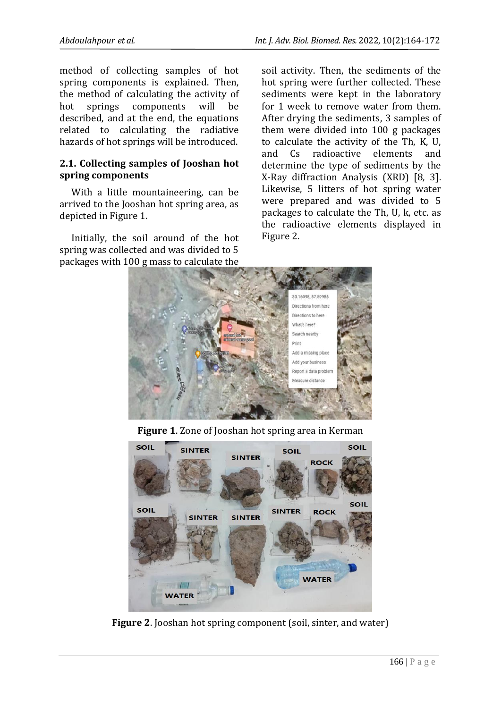method of collecting samples of hot spring components is explained. Then, the method of calculating the activity of hot springs components will be described, and at the end, the equations related to calculating the radiative hazards of hot springs will be introduced.

#### **2.1. Collecting samples of Jooshan hot spring components**

With a little mountaineering, can be arrived to the Jooshan hot spring area, as depicted in Figure 1.

Initially, the soil around of the hot spring was collected and was divided to 5 packages with 100 g mass to calculate the

soil activity. Then, the sediments of the hot spring were further collected. These sediments were kept in the laboratory for 1 week to remove water from them. After drying the sediments, 3 samples of them were divided into 100 g packages to calculate the activity of the Th, K, U, and Cs radioactive elements and determine the type of sediments by the X-Ray diffraction Analysis (XRD) [8, 3]. Likewise, 5 litters of hot spring water were prepared and was divided to 5 packages to calculate the Th, U, k, etc. as the radioactive elements displayed in Figure 2.



**Figure 1**. Zone of Jooshan hot spring area in Kerman



**Figure 2**. Jooshan hot spring component (soil, sinter, and water)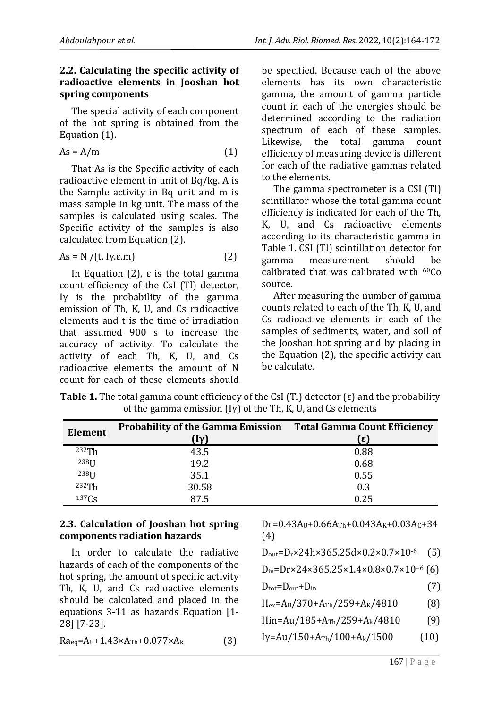#### **2.2. Calculating the specific activity of radioactive elements in Jooshan hot spring components**

The special activity of each component of the hot spring is obtained from the Equation (1).

$$
As = A/m
$$
 (1)

That As is the Specific activity of each radioactive element in unit of Bq/kg. A is the Sample activity in Bq unit and m is mass sample in kg unit. The mass of the samples is calculated using scales. The Specific activity of the samples is also calculated from Equation (2).

$$
As = N / (t. Iy.e.m)
$$
 (2)

In Equation (2),  $ε$  is the total gamma count efficiency of the CsI (Tl) detector, Iγ is the probability of the gamma emission of Th, K, U, and Cs radioactive elements and t is the time of irradiation that assumed 900 s to increase the accuracy of activity. To calculate the activity of each Th, K, U, and Cs radioactive elements the amount of N count for each of these elements should be specified. Because each of the above elements has its own characteristic gamma, the amount of gamma particle count in each of the energies should be determined according to the radiation spectrum of each of these samples. Likewise, the total gamma count efficiency of measuring device is different for each of the radiative gammas related to the elements.

The gamma spectrometer is a CSI (Tl) scintillator whose the total gamma count efficiency is indicated for each of the Th, K, U, and Cs radioactive elements according to its characteristic gamma in Table 1. CSI (Tl) scintillation detector for gamma measurement should be calibrated that was calibrated with 60Co source.

After measuring the number of gamma counts related to each of the Th, K, U, and Cs radioactive elements in each of the samples of sediments, water, and soil of the Jooshan hot spring and by placing in the Equation (2), the specific activity can be calculate.

| <b>Element</b> | <b>Probability of the Gamma Emission</b><br>$[\mathrm{Iy}]$ | <b>Total Gamma Count Efficiency</b><br>(ε) |
|----------------|-------------------------------------------------------------|--------------------------------------------|
| 232Th          | 43.5                                                        | 0.88                                       |
| $238$ [J       | 19.2                                                        | 0.68                                       |
| $238$ [J       | 35.1                                                        | 0.55                                       |
| 232Th          | 30.58                                                       | 0.3                                        |
| $137C_S$       | 87.5                                                        | 0.25                                       |

**Table 1.** The total gamma count efficiency of the CsI (Tl) detector (ε) and the probability of the gamma emission  $(Iy)$  of the Th, K, U, and Cs elements

## **2.3. Calculation of Jooshan hot spring components radiation hazards**

In order to calculate the radiative hazards of each of the components of the hot spring, the amount of specific activity Th, K, U, and Cs radioactive elements should be calculated and placed in the equations 3-11 as hazards Equation [1- 28] [7-23].

$$
Ra_{eq} = A_U + 1.43 \times A_{Th} + 0.077 \times A_k
$$
 (3)

 $Dr=0.43A_U+0.66A_{Th}+0.043A_K+0.03A_C+34$ (4)

| $D_{\text{out}}=D_{\text{r}} \times 24h \times 365.25d \times 0.2 \times 0.7 \times 10^{-6}$ (5) |
|--------------------------------------------------------------------------------------------------|
|                                                                                                  |

$$
D_{in} = Dr \times 24 \times 365.25 \times 1.4 \times 0.8 \times 0.7 \times 10^{-6} (6)
$$

$$
D_{\text{tot}} = D_{\text{out}} + D_{\text{in}} \tag{7}
$$

 $H_{ex} = A_U / 370 + A_{Th} / 259 + A_K / 4810$  (8)

Hin=Au/185+A<sub>Th</sub>/259+A<sub>k</sub>/4810 (9)

$$
I\gamma = Au/150 + A_{Th}/100 + A_k/1500
$$
 (10)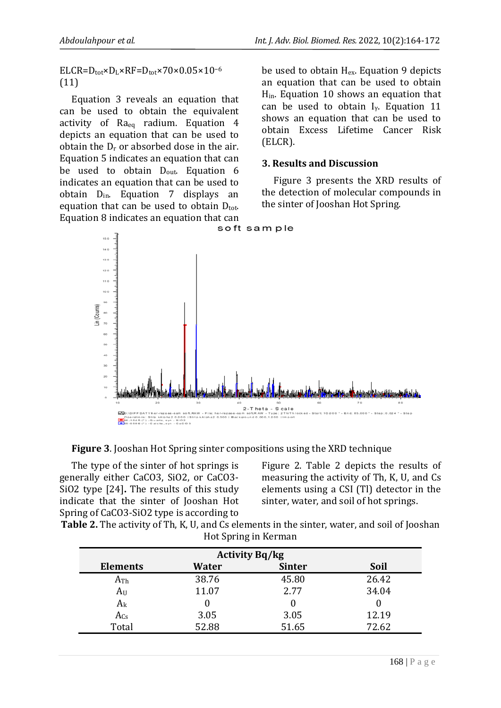$ELCR=D_{tot} \times D_L \times RF=D_{tot} \times 70 \times 0.05 \times 10^{-6}$ (11)

Equation 3 reveals an equation that can be used to obtain the equivalent activity of Raeq radium. Equation 4 depicts an equation that can be used to obtain the  $D_r$  or absorbed dose in the air. Equation 5 indicates an equation that can be used to obtain D<sub>out</sub>. Equation 6 indicates an equation that can be used to obtain  $D_{in}$ . Equation 7 displays an equation that can be used to obtain  $D_{\text{tot}}$ . Equation 8 indicates an equation that can<br>soft sample

be used to obtain Hex. Equation 9 depicts an equation that can be used to obtain Hin. Equation 10 shows an equation that can be used to obtain Iγ. Equation 11 shows an equation that can be used to obtain Excess Lifetime Cancer Risk (ELCR).

#### **3. Results and Discussion**

Figure 3 presents the XRD results of the detection of molecular compounds in the sinter of Jooshan Hot Spring.



**Figure 3**. Jooshan Hot Spring sinter compositions using the XRD technique

The type of the sinter of hot springs is generally either CaCO3, SiO2, or CaCO3- SiO2 type [24]**.** The results of this study indicate that the sinter of Jooshan Hot Spring of CaCO3-SiO2 type is according to

Figure 2. Table 2 depicts the results of measuring the activity of Th, K, U, and Cs elements using a CSI (Tl) detector in the sinter, water, and soil of hot springs.

**Table 2.** The activity of Th, K, U, and Cs elements in the sinter, water, and soil of Jooshan Hot Spring in Kerman

| <b>Activity Bq/kg</b> |       |               |             |  |  |
|-----------------------|-------|---------------|-------------|--|--|
| <b>Elements</b>       | Water | <b>Sinter</b> | <b>Soil</b> |  |  |
| $A_{Th}$              | 38.76 | 45.80         | 26.42       |  |  |
| $A_U$                 | 11.07 | 2.77          | 34.04       |  |  |
| $A_{k}$               | 0     |               |             |  |  |
| $A_{Cs}$              | 3.05  | 3.05          | 12.19       |  |  |
| Total                 | 52.88 | 51.65         | 72.62       |  |  |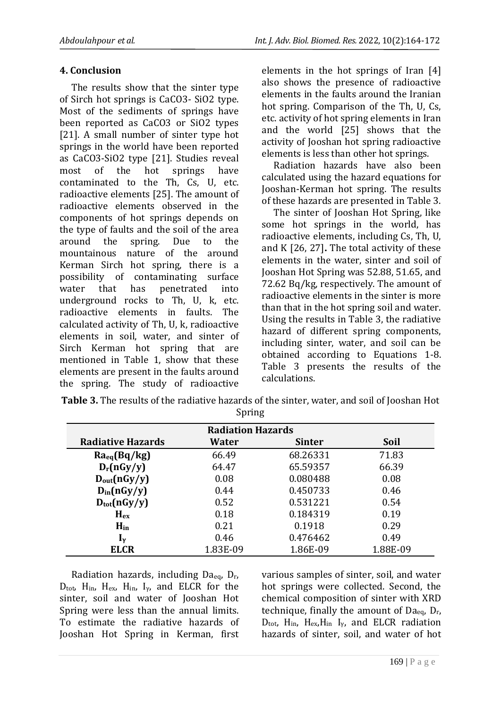#### **4. Conclusion**

The results show that the sinter type of Sirch hot springs is CaCO3- SiO2 type. Most of the sediments of springs have been reported as CaCO3 or SiO2 types [21]. A small number of sinter type hot springs in the world have been reported as CaCO3-SiO2 type [21]. Studies reveal most of the hot springs have contaminated to the Th, Cs, U, etc. radioactive elements [25]. The amount of radioactive elements observed in the components of hot springs depends on the type of faults and the soil of the area around the spring. Due to the mountainous nature of the around Kerman Sirch hot spring, there is a possibility of contaminating surface water that has penetrated into underground rocks to Th, U, k, etc. radioactive elements in faults. The calculated activity of Th, U, k, radioactive elements in soil, water, and sinter of Sirch Kerman hot spring that are mentioned in Table 1, show that these elements are present in the faults around the spring. The study of radioactive elements in the hot springs of Iran [4] also shows the presence of radioactive elements in the faults around the Iranian hot spring. Comparison of the Th, U, Cs, etc. activity of hot spring elements in Iran and the world [25] shows that the activity of Jooshan hot spring radioactive elements is less than other hot springs.

Radiation hazards have also been calculated using the hazard equations for Jooshan-Kerman hot spring. The results of these hazards are presented in Table 3.

The sinter of Jooshan Hot Spring, like some hot springs in the world, has radioactive elements, including Cs, Th, U, and K [26, 27]**.** The total activity of these elements in the water, sinter and soil of Jooshan Hot Spring was 52.88, 51.65, and 72.62 Bq/kg, respectively. The amount of radioactive elements in the sinter is more than that in the hot spring soil and water. Using the results in Table 3, the radiative hazard of different spring components, including sinter, water, and soil can be obtained according to Equations 1-8. Table 3 presents the results of the calculations.

| <b>Table 3.</b> The results of the radiative hazards of the sinter, water, and soil of Jooshan Hot |
|----------------------------------------------------------------------------------------------------|
| Spring                                                                                             |

| <b>Radiation Hazards</b>  |          |               |             |  |  |
|---------------------------|----------|---------------|-------------|--|--|
| <b>Radiative Hazards</b>  | Water    | <b>Sinter</b> | <b>Soil</b> |  |  |
| $Ra_{eq}(Bq/kg)$          | 66.49    | 68.26331      | 71.83       |  |  |
| $D_r(nGy/y)$              | 64.47    | 65.59357      | 66.39       |  |  |
| $D_{out}(nGy/y)$          | 0.08     | 0.080488      | 0.08        |  |  |
| $D_{in}(nGy/y)$           | 0.44     | 0.450733      | 0.46        |  |  |
| $D_{\text{tot}}(nGy/y)$   | 0.52     | 0.531221      | 0.54        |  |  |
| $H_{\rm ex}$              | 0.18     | 0.184319      | 0.19        |  |  |
| $H_{in}$                  | 0.21     | 0.1918        | 0.29        |  |  |
| $\mathbf{I}_{\mathbf{v}}$ | 0.46     | 0.476462      | 0.49        |  |  |
| <b>ELCR</b>               | 1.83E-09 | 1.86E-09      | 1.88E-09    |  |  |

Radiation hazards, including Daeq, Dr,  $D_{\text{tot}}$ , H<sub>in</sub>, H<sub>ex</sub>, H<sub>in</sub>, I<sub>y</sub>, and ELCR for the sinter, soil and water of Jooshan Hot Spring were less than the annual limits. To estimate the radiative hazards of Jooshan Hot Spring in Kerman, first various samples of sinter, soil, and water hot springs were collected. Second, the chemical composition of sinter with XRD technique, finally the amount of Daeq, Dr,  $D_{\text{tot}}$ , H<sub>in</sub>, H<sub>ex</sub>, H<sub>in</sub> I<sub>y</sub>, and ELCR radiation hazards of sinter, soil, and water of hot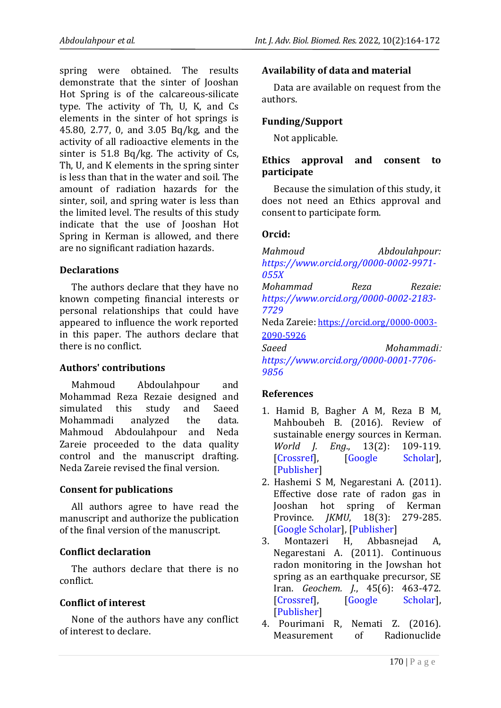spring were obtained. The results demonstrate that the sinter of Jooshan Hot Spring is of the calcareous-silicate type. The activity of Th, U, K, and Cs elements in the sinter of hot springs is 45.80, 2.77, 0, and 3.05 Bq/kg, and the activity of all radioactive elements in the sinter is 51.8 Bq/kg. The activity of Cs, Th, U, and K elements in the spring sinter is less than that in the water and soil. The amount of radiation hazards for the sinter, soil, and spring water is less than the limited level. The results of this study indicate that the use of Jooshan Hot Spring in Kerman is allowed, and there are no significant radiation hazards.

#### **Declarations**

The authors declare that they have no known competing financial interests or personal relationships that could have appeared to influence the work reported in this paper. The authors declare that there is no conflict.

#### **Authors' contributions**

Mahmoud Abdoulahpour and Mohammad Reza Rezaie designed and simulated this study and Saeed Mohammadi analyzed the data. Mahmoud Abdoulahpour and Neda Zareie proceeded to the data quality control and the manuscript drafting. Neda Zareie revised the final version.

#### **Consent for publications**

All authors agree to have read the manuscript and authorize the publication of the final version of the manuscript.

#### **Conflict declaration**

The authors declare that there is no conflict.

#### **Conflict of interest**

None of the authors have any conflict of interest to declare.

#### **Availability of data and material**

Data are available on request from the authors.

#### **Funding/Support**

Not applicable.

#### **Ethics approval and consent to participate**

Because the simulation of this study, it does not need an Ethics approval and consent to participate form.

#### **Orcid:**

*Mahmoud Abdoulahpour: [https://www.orcid.org/0000-0002-9971-](https://www.orcid.org/0000-0002-9971-055X) [055X](https://www.orcid.org/0000-0002-9971-055X) Mohammad Reza Rezaie: [https://www.orcid.org/0000-0002-2183-](https://www.orcid.org/0000-0002-2183-7729) [7729](https://www.orcid.org/0000-0002-2183-7729)* Neda Zareie: [https://orcid.org/0000-0003-](https://orcid.org/0000-0003-2090-5926) [2090-5926](https://orcid.org/0000-0003-2090-5926) *Saeed Mohammadi*: *[https://www.orcid.org/0000-0001-7706-](https://www.orcid.org/0000-0001-7706-9856) [9856](https://www.orcid.org/0000-0001-7706-9856)*

#### **References**

- 1. Hamid B, Bagher A M, Reza B M, Mahboubeh B. (2016). Review of sustainable energy sources in Kerman. *World J. Eng*., 13(2): 109-119. [\[Crossref\]](https://doi.org/10.1108/WJE-04-2016-014), [\[Google Scholar\]](https://scholar.google.com/scholar?hl=en&as_sdt=0%2C5&q=Hamid+B%2C+Bagher+A+M%2C+Reza+B+M%2C+%E2%80%8EMahboubeh+B.+%282016%29.+Review+of+%E2%80%8Esustainable+energy+%E2%80%8Esources+in+%E2%80%8EKerman.+World+Journal+of+Engineering.+%E2%80%8E&btnG=), [\[Publisher\]](https://www.emerald.com/insight/content/doi/10.1108/WJE-04-2016-014/full/html)
- 2. Hashemi S M, Negarestani A. (2011). Effective dose rate of radon gas in Jooshan hot spring of Kerman Province. *JKMU*, 18(3): 279-285. [\[Google Scholar\]](https://scholar.google.com/scholar?hl=en&as_sdt=0%2C5&q=SM+H.+%282011%29.+Effective+dose+rate+of+%E2%80%8Eradon+gas+in+Jooshan+hot+spring+of+%E2%80%8EKerman+%E2%80%8EProvince.+%E2%80%8E&btnG=), [\[Publisher\]](https://pesquisa.bvsalud.org/portal/resource/pt/emr-125102)
- 3. Montazeri H, Abbasnejad A, Negarestani A. (2011). Continuous radon monitoring in the Jowshan hot spring as an earthquake precursor, SE Iran. *Geochem. J.*, 45(6): 463-472. [\[Crossref\]](https://doi.org/10.2343/geochemj.1.0148), [\[Google Scholar\]](https://scholar.google.com/scholar?hl=en&as_sdt=0%2C5&q=Montazeri+H%2C+Abbasnejad+A%2C+%E2%80%8ENegarestani+A.+%282011%29.+Continuous+%E2%80%8Eradon+monitoring+in+%E2%80%8Ethe+Jowshan+hot+%E2%80%8Espring+as+an+earthquake+precursor%2C+SE+%E2%80%8EIran.+Geochemical+Journal%2C+45%286%29%3A+%E2%80%8E%E2%80%8E463-%E2%80%8E%E2%80%8E472.%E2%80%8E&btnG=), [\[Publisher\]](https://www.jstage.jst.go.jp/article/geochemj/45/6/45_1.0148/_article/-char/ja/)
- 4. Pourimani R, Nemati Z. (2016). Measurement of Radionuclide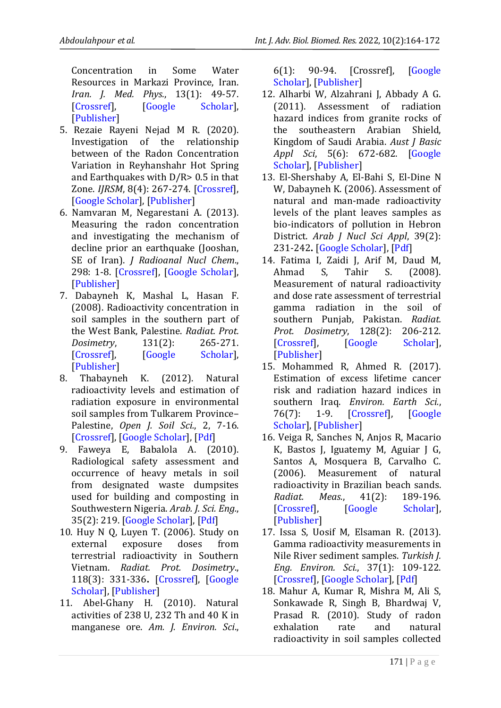Concentration in Some Water Resources in Markazi Province, Iran. *Iran. J. Med. Phys.*, 13(1): 49-57. [\[Crossref\]](https://doi.org/%2010.22038/IJMP.2016.7145‎), [\[Google Scholar\]](https://scholar.google.com/scholar?hl=en&as_sdt=0%2C5&q=Pourimani+R%2C+Nemati+Z.+%282016%29.+%E2%80%8EMeasurement+of+Radionuclide+%E2%80%8EConcentration+in+Some+%E2%80%8EWater+%E2%80%8EResources+in+Markazi+Province%2C+Iran.+%E2%80%8EIranian+Journal+of+Medical+Physics%2C+%E2%80%8E%E2%80%8E13%281%29%3A+49-%E2%80%8E%E2%80%8E57.+%E2%80%8E&btnG=), [\[Publisher\]](http://eprints.mums.ac.ir/3306/)

- 5. Rezaie Rayeni Nejad M R. (2020). Investigation of the relationship between of the Radon Concentration Variation in Reyhanshahr Hot Spring and Earthquakes with  $D/R$  > 0.5 in that Zone. *IJRSM*, 8(4): 267-274. [\[Crossref\]](https://doi.org/20.1001.1.23225971.1399.8.4.22.8‎), [\[Google Scholar\]](https://scholar.google.com/scholar?hl=en&as_sdt=0%2C5&q=Rezaie+Rayeni+Nejad+M+R.+%282020%29.+%E2%80%8EInvestigation+of+the+relationship+%E2%80%8Ebetween+of+the+%E2%80%8ERadon+Concentration+%E2%80%8EVariation+in+Reyhanshahr+Hot+Spring+%E2%80%8Eand+Earthquakes+with+D%2FR%3E+%E2%80%8E%E2%80%8E0.5+in+%E2%80%8Ethat+Zone.+Iranian+Journal+of+%E2%80%8ERadiation+Safety+and+Measurement%2C+%E2%80%8E%E2%80%8E8%284%29%3A+267-274%E2%80%8E&btnG=), [\[Publisher\]](https://rsm.kashanu.ac.ir/article-1-435-en.html)
- 6. Namvaran M, Negarestani A. (2013). Measuring the radon concentration and investigating the mechanism of decline prior an earthquake (Jooshan, SE of Iran). *J Radioanal Nucl Chem*., 298: 1-8. [\[Crossref\]](https://doi.org/10.1007/s10967-012-2162-7), [\[Google Scholar\]](https://scholar.google.com/scholar?hl=en&as_sdt=0%2C5&q=Namvaran+M%2C+Negarestani+A.+%282013%29.+%E2%80%8EMeasuring+the+radon+concentration+%E2%80%8Eand+%E2%80%8Einvestigating+the+mechanism+of+%E2%80%8Edecline+prior+an+earthquake+%28Jooshan%2C+%E2%80%8ESE+of+Iran%29.+Journal+%E2%80%8Eof+Radioanalytical+%E2%80%8Eand+Nuclear+Chemistry%2C+298%281%29%3A+1-8.+%E2%80%8E&btnG=), [\[Publisher\]](https://link.springer.com/article/10.1007/s10967-012-2162-7)
- 7. Dabayneh K, Mashal L, Hasan F. (2008). Radioactivity concentration in soil samples in the southern part of the West Bank, Palestine. *Radiat. Prot. Dosimetry*, 131(2): 265-271. [\[Crossref\]](https://doi.org/10.1093/rpd/ncn161), [\[Google Scholar\]](https://scholar.google.com/scholar?hl=en&as_sdt=0%2C5&q=Dabayneh+K%2C+Mashal+L%2C+Hasan+F.+%E2%80%8E%E2%80%8E%282008%29.+Radioactivity+concentration+in+%E2%80%8Esoil+samples+in+%E2%80%8Ethe+southern+part+of+%E2%80%8Ethe+West+Bank%2C+Palestine.+Radiation+%E2%80%8Eprotection+dosimetry%2C+131%282%29%3A+265-%E2%80%8E%E2%80%8E%E2%80%8E271.+%E2%80%8E&btnG=), [\[Publisher\]](https://academic.oup.com/rpd/article-abstract/131/2/265/1607980)
- 8. Thabayneh K. (2012). Natural radioactivity levels and estimation of radiation exposure in environmental soil samples from Tulkarem Province– Palestine, *Open J. Soil Sci.*, 2, 7-16. [\[Crossref\]](http://dx.doi.org/10.4236/ojss.2012.21002), [\[Google Scholar\]](https://scholar.google.com/scholar?hl=en&as_sdt=0%2C5&q=Thabayneh+K.+%282012%29.+Natural+%E2%80%8Eradioactivity+levels+and+estimation+of+%E2%80%8Eradiation+%E2%80%8Eexposure+in+environmental+%E2%80%8Esoil+samples+from+Tulkarem+%E2%80%8EProvince%E2%80%93Palestine.+%E2%80%8E&btnG=), [\[Pdf\]](https://file.scirp.org/pdf/OJSS20120100001_63641229.pdf)
- 9. Faweya E, Babalola A. (2010). Radiological safety assessment and occurrence of heavy metals in soil from designated waste dumpsites used for building and composting in Southwestern Nigeria. *Arab. J. Sci. Eng.*, 35(2): 219. [\[Google Scholar\]](https://scholar.google.com/scholar?hl=en&as_sdt=0%2C5&q=Faweya+E%2C+Babalola+A.+%282010%29.+%E2%80%8ERadiological+safety+assessment+and+%E2%80%8Eoccurrence+of+%E2%80%8Eheavy+metals+in+soil+%E2%80%8Efrom+designated+waste+dumpsites+%E2%80%8E%E2%80%8Eused+for+building+and+composting+in+%E2%80%8ESouthwestern+Nigeria.+Arabian+%E2%80%8EJournal+for+Science+%E2%80%8Eand+Engineering%2C+%E2%80%8E%E2%80%8E35%282%29%3A+219%E2%80%8E&btnG=), [\[Pdf\]](http://ajse.kfupm.edu.sa/articles/352A%20p.16.pdf)
- 10. Huy N Q, Luyen T. (2006). Study on external exposure doses from terrestrial radioactivity in Southern Vietnam. *Radiat. Prot. Dosimetry*., 118(3): 331-336**.** [\[Crossref\]](https://doi.org/10.1093/rpd/nci341‎), [\[Google](https://scholar.google.com/scholar?hl=en&as_sdt=0%2C5&q=Huy+N+Q%2C+Luyen+T.+%282006%29.+Study+on+%E2%80%8Eexternal+exposure+doses+from+%E2%80%8Eterrestrial+%E2%80%8Eradioactivity+in+Southern+%E2%80%8EVietnam.+Radiation+protection+%E2%80%8Edosimetry%2C+118%283%29%3A+331-336%E2%80%8E&btnG=)  [Scholar\]](https://scholar.google.com/scholar?hl=en&as_sdt=0%2C5&q=Huy+N+Q%2C+Luyen+T.+%282006%29.+Study+on+%E2%80%8Eexternal+exposure+doses+from+%E2%80%8Eterrestrial+%E2%80%8Eradioactivity+in+Southern+%E2%80%8EVietnam.+Radiation+protection+%E2%80%8Edosimetry%2C+118%283%29%3A+331-336%E2%80%8E&btnG=), [\[Publisher\]](https://academic.oup.com/rpd/article-abstract/118/3/331/1602601)
- 11. Abel-Ghany H. (2010). Natural activities of 238 U, 232 Th and 40 K in manganese ore. *Am. J. Environ. Sci*.,

6(1): 90-94. [Crossref], [\[Google](https://scholar.google.com/scholar?hl=en&as_sdt=0%2C5&q=Abel-Ghany+H.+%282010%29.+Natural+%E2%80%8Eactivities+of+238U%2C+232Th+and+40K+in+%E2%80%8Emanganese+ore.+%E2%80%8EAmerican+Journal+of+%E2%80%8EEnvironmental+Sciences%2C+6%281%29%3A+90-94.+%E2%80%8E&btnG=)  [Scholar\]](https://scholar.google.com/scholar?hl=en&as_sdt=0%2C5&q=Abel-Ghany+H.+%282010%29.+Natural+%E2%80%8Eactivities+of+238U%2C+232Th+and+40K+in+%E2%80%8Emanganese+ore.+%E2%80%8EAmerican+Journal+of+%E2%80%8EEnvironmental+Sciences%2C+6%281%29%3A+90-94.+%E2%80%8E&btnG=), [\[Publisher\]](https://www.cabdirect.org/cabdirect/abstract/20103150711)

- 12. Alharbi W, Alzahrani J, Abbady A G. (2011). Assessment of radiation hazard indices from granite rocks of the southeastern Arabian Shield, Kingdom of Saudi Arabia. *Aust J Basic Appl Sci*, 5(6): 672-682. [\[Google](https://scholar.google.com/scholar?hl=en&as_sdt=0%2C5&q=Alharbi+W%2C+Alzahrani+J%2C+Abbady+A+G.+%E2%80%8E%E2%80%8E%282011%29.+Assessment+of+radiation+%E2%80%8Ehazard+indices+%E2%80%8Efrom+granite+rocks+of+%E2%80%8Ethe+southeastern+Arabian+Shield%2C+%E2%80%8EKingdom+of+Saudi+Arabia.+Aust+J+%E2%80%8EBasic+%E2%80%8EAppl+Sci%2C+5%286%29%3A+672-682%E2%80%8E&btnG=)  [Scholar\]](https://scholar.google.com/scholar?hl=en&as_sdt=0%2C5&q=Alharbi+W%2C+Alzahrani+J%2C+Abbady+A+G.+%E2%80%8E%E2%80%8E%282011%29.+Assessment+of+radiation+%E2%80%8Ehazard+indices+%E2%80%8Efrom+granite+rocks+of+%E2%80%8Ethe+southeastern+Arabian+Shield%2C+%E2%80%8EKingdom+of+Saudi+Arabia.+Aust+J+%E2%80%8EBasic+%E2%80%8EAppl+Sci%2C+5%286%29%3A+672-682%E2%80%8E&btnG=), [\[Publisher\]](https://www.researchgate.net/publication/283797361_Assessment_of_radiation_hazard_indices_from_granite_rocks_of_the_southeastern_Arabian_Shield_Kingdom_of_Saudi_Arabia)
- 13. El-Shershaby A, El-Bahi S, El-Dine N W, Dabayneh K. (2006). Assessment of natural and man-made radioactivity levels of the plant leaves samples as bio-indicators of pollution in Hebron District. *Arab J Nucl Sci Appl*, 39(2): 231-242**.**[\[Google Scholar\]](https://scholar.google.com/scholar?hl=en&as_sdt=0%2C5&q=El-Shershaby+A%2C+El-Bahi+S%2C+El-Dine+N+%E2%80%8EW%2C+Dabayneh+K.+%282006%29.+Assessment+%E2%80%8Eof+natural+%E2%80%8Eand+man-made+radioactivity+%E2%80%8Elevels+of+the+plant+leaves+samples+as+%E2%80%8Ebio-indicators+of+%E2%80%8Epollution+in+Hebron+%E2%80%8EDistrict.+Arab+J+Nucl+Sci+Appl%2C+39%282%29%3A+%E2%80%8E%E2%80%8E231-242.%E2%80%8E&btnG=), [\[Pdf\]](https://www.researchgate.net/profile/Khalil-Thabayneh/publication/277891102_Assessment_of_Natural_and_Man_-Made_Radioactivity_Levels_of_the_Plant_Leaves_Samples_as_Bio-_Indicators_of_Pollution_in_Hebron_District-_Palestine/links/5575feb708aeacff1ffe5de3/Assessment-of-Natural-and-Man-Made-Radioactivity-Levels-of-the-Plant-Leaves-Samples-as-Bio-Indicators-of-Pollution-in-Hebron-District-Palestine.pdf)
- 14. Fatima I, Zaidi J, Arif M, Daud M, Ahmad S, Tahir S. (2008). Measurement of natural radioactivity and dose rate assessment of terrestrial gamma radiation in the soil of southern Punjab, Pakistan. *Radiat. Prot. Dosimetry*, 128(2): 206-212. [\[Crossref\]](https://doi.org/10.1093/rpd/ncm310), [\[Google Scholar\]](https://scholar.google.com/scholar?hl=en&as_sdt=0%2C5&q=Fatima+I%2C+Zaidi+J%2C+Arif+M%2C+Daud+M%2C+%E2%80%8EAhmad+S%2C+Tahir+S.+%282008%29.+%E2%80%8EMeasurement+of+natural+%E2%80%8Eradioactivity+%E2%80%8Eand+dose+rate+assessment+of+%E2%80%8Eterrestrial+gamma+radiation+in+the+soil+%E2%80%8Eof+%E2%80%8Esouthern+Punjab%2C+Pakistan.+%E2%80%8ERadiation+protection+dosimetry%2C+%E2%80%8E%E2%80%8E128%282%29%3A+206-212.%E2%80%8E&btnG=), [\[Publisher\]](https://academic.oup.com/rpd/article-abstract/128/2/206/1603717)
- 15. Mohammed R, Ahmed R. (2017). Estimation of excess lifetime cancer risk and radiation hazard indices in southern Iraq. *Environ. Earth Sci.*, 76(7): 1-9. [\[Crossref\]](https://doi.org/10.1007/s12665-017-6616-7), [\[Google](https://scholar.google.com/scholar?hl=en&as_sdt=0%2C5&q=Mohammed+R%2C+Ahmed+R.+%282017%29.+%E2%80%8EEstimation+of+excess+lifetime+cancer+%E2%80%8Erisk+and+%E2%80%8Eradiation+hazard+indices+in+%E2%80%8Esouthern+Iraq.+Environmental+Earth+%E2%80%8ESciences%2C+76%287%29%3A+1-9%E2%80%8E&btnG=)  [Scholar\]](https://scholar.google.com/scholar?hl=en&as_sdt=0%2C5&q=Mohammed+R%2C+Ahmed+R.+%282017%29.+%E2%80%8EEstimation+of+excess+lifetime+cancer+%E2%80%8Erisk+and+%E2%80%8Eradiation+hazard+indices+in+%E2%80%8Esouthern+Iraq.+Environmental+Earth+%E2%80%8ESciences%2C+76%287%29%3A+1-9%E2%80%8E&btnG=), [\[Publisher\]](https://link.springer.com/article/10.1007/s12665-017-6616-7)
- 16. Veiga R, Sanches N, Anjos R, Macario K, Bastos J, Iguatemy M, Aguiar J G, Santos A, Mosquera B, Carvalho C. (2006). Measurement of natural radioactivity in Brazilian beach sands. *Radiat. Meas.*, 41(2): 189-196. [\[Crossref\]](https://doi.org/10.1016/j.radmeas.2005.05.001), [\[Google Scholar\]](https://scholar.google.com/scholar?hl=en&as_sdt=0%2C5&q=Veiga+R%2C+Sanches+N%2C+Anjos+R%2C+Macario+%E2%80%8EK%2C+Bastos+J%2C+Iguatemy+M%2C+Aguiar+J+G%2C+%E2%80%8ESantos+A%2C+%E2%80%8EMosquera+B%2C+Carvalho+C.+%E2%80%8E%E2%80%8E%282006%29.+Measurement+of+natural+%E2%80%8Eradioactivity+in+Brazilian+beach+%E2%80%8Esands.+%E2%80%8ERadiation+measurements%2C+41%282%29%3A+189-%E2%80%8E%E2%80%8E196.%E2%80%8E&btnG=), [\[Publisher\]](https://www.sciencedirect.com/science/article/abs/pii/S1350448705000685)
- 17. Issa S, Uosif M, Elsaman R. (2013). Gamma radioactivity measurements in Nile River sediment samples. *Turkish J. Eng. Environ. Sci.*, 37(1): 109-122. [\[Crossref\]](https://doi.org/‎10.3906/muh-1207-21‎), [\[Google Scholar\]](https://scholar.google.com/scholar?hl=en&as_sdt=0%2C5&q=Veiga+R%2C+Sanches+N%2C+Anjos+Issa+S%2C+Uosif+M%2C+Elsaman+R.+%282013%29.+%E2%80%8EGamma+radioactivity+measurements+in+%E2%80%8ENile+River+%E2%80%8Esediment+samples.+Turkish+%E2%80%8EJournal+of+Engineering+and+%E2%80%8EEnvironmental+Sciences%2C+37%281%29%3A+%E2%80%8E%E2%80%8E109-%E2%80%8E%E2%80%8E122.+%E2%80%8E%2C+Macario+%E2%80%8EK%2C+Bastos+J%2C+Iguatemy+M%2C+Aguiar+J+G%2C+%E2%80%8ESantos+A%2C+%E2%80%8EMosquera+B%2C+Carvalho+C.+%E2%80%8E%E2%80%8E%282006%29.+Measurement+of+natural+%E2%80%8Eradioactivity+in+Brazilian+beach+%E2%80%8Esands.+%E2%80%8ERadiation+measurements%2C+41%282%29%3A+189-%E2%80%8E%E2%80%8E196.%E2%80%8E&btnG=), [\[Pdf\]](http://citeseerx.ist.psu.edu/viewdoc/download?doi=10.1.1.874.6180&rep=rep1&type=pdf)
- 18. Mahur A, Kumar R, Mishra M, Ali S, Sonkawade R, Singh B, Bhardwaj V, Prasad R. (2010). Study of radon exhalation rate and natural radioactivity in soil samples collected